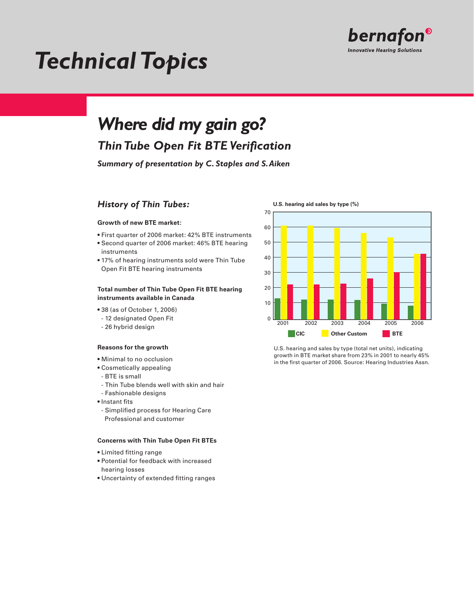

# *Technical Topics*

## *Where did my gain go?*

## *Thin Tube Open Fit BTE Verification*

*Summary of presentation by C. Staples and S. Aiken*

## *History of Thin Tubes:*

## **Growth of new BTE market:**

- First quarter of 2006 market: 42% BTE instruments
- Second quarter of 2006 market: 46% BTE hearing instruments
- 17% of hearing instruments sold were Thin Tube Open Fit BTE hearing instruments

## **Total number of Thin Tube Open Fit BTE hearing instruments available in Canada**

- 38 (as of October 1, 2006)
- 12 designated Open Fit
- 26 hybrid design

#### **Reasons for the growth**

- Minimal to no occlusion
- Cosmetically appealing
- BTE is small
- Thin Tube blends well with skin and hair
- Fashionable designs
- Instant fits
- Simplified process for Hearing Care Professional and customer

#### **Concerns with Thin Tube Open Fit BTEs**

- Limited fitting range
- Potential for feedback with increased hearing losses
- Uncertainty of extended fitting ranges



U.S. hearing and sales by type (total net units), indicating growth in BTE market share from 23% in 2001 to nearly 45% in the first quarter of 2006. Source: Hearing Industries Assn.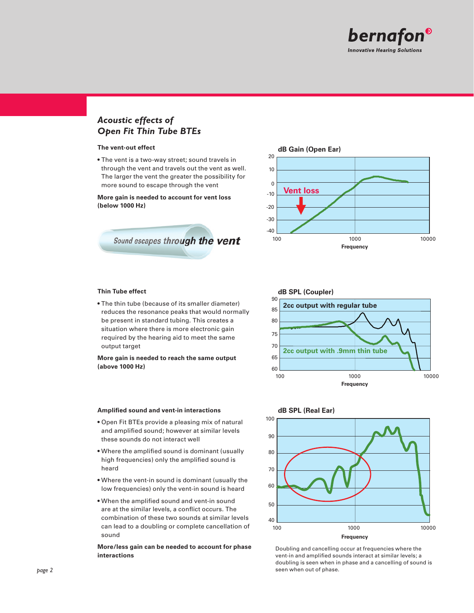

## *Acoustic effects of Open Fit Thin Tube BTEs*

#### **The vent-out effect**

• The vent is a two-way street; sound travels in through the vent and travels out the vent as well. The larger the vent the greater the possibility for more sound to escape through the vent

**More gain is needed to account for vent loss (below 1000 Hz)**





### **Thin Tube effect**

• The thin tube (because of its smaller diameter) reduces the resonance peaks that would normally be present in standard tubing. This creates a situation where there is more electronic gain required by the hearing aid to meet the same output target

**More gain is needed to reach the same output (above 1000 Hz)**

#### **Amplified sound and vent-in interactions**

- Open Fit BTEs provide a pleasing mix of natural and amplified sound; however at similar levels these sounds do not interact well
- Where the amplified sound is dominant (usually high frequencies) only the amplified sound is heard
- Where the vent-in sound is dominant (usually the low frequencies) only the vent-in sound is heard
- When the amplified sound and vent-in sound are at the similar levels, a conflict occurs. The combination of these two sounds at similar levels can lead to a doubling or complete cancellation of sound

### **More/less gain can be needed to account for phase interactions**





Doubling and cancelling occur at frequencies where the vent-in and amplified sounds interact at similar levels; a doubling is seen when in phase and a cancelling of sound is **page 2** seen when out of phase.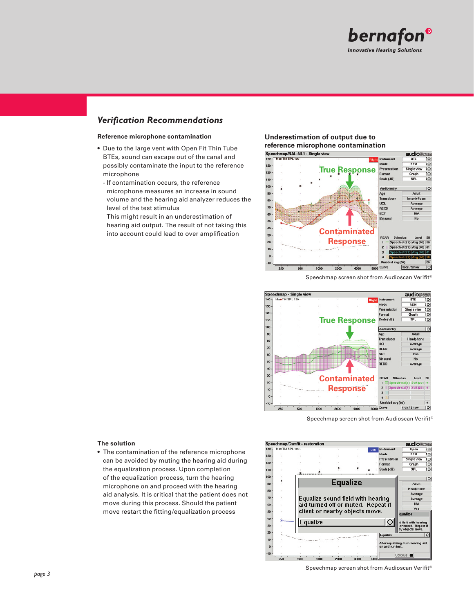

## *Verification Recommendations*

### **Reference microphone contamination**

- Due to the large vent with Open Fit Thin Tube BTEs, sound can escape out of the canal and possibly contaminate the input to the reference microphone
	- If contamination occurs, the reference microphone measures an increase in sound volume and the hearing aid analyzer reduces the level of the test stimulus

This might result in an underestimation of hearing aid output. The result of not taking this into account could lead to over amplification

## **Underestimation of output due to**



Speechmap screen shot from Audioscan Verifit®



Speechmap screen shot from Audioscan Verifit®

## **The solution**

• The contamination of the reference microphone can be avoided by muting the hearing aid during the equalization process. Upon completion of the equalization process, turn the hearing microphone on and proceed with the hearing aid analysis. It is critical that the patient does not move during this process. Should the patient move restart the fitting/equalization process



Speechmap screen shot from Audioscan Verifit®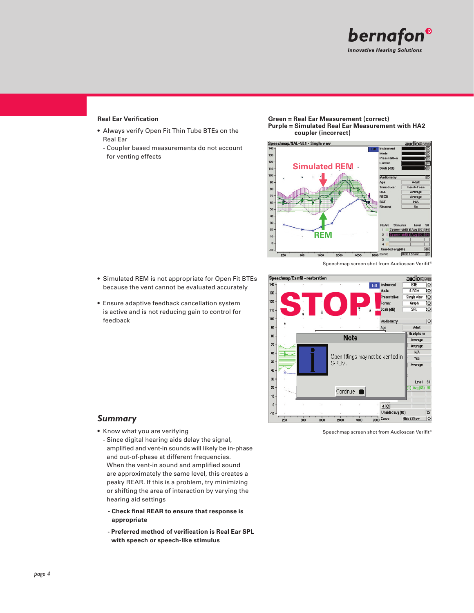

## **Real Ear Verification**

- Always verify Open Fit Thin Tube BTEs on the Real Ear
	- Coupler based measurements do not account for venting effects

**Green = Real Ear Measurement (correct) Purple = Simulated Real Ear Measurement with HA2 coupler (incorrect)**



Speechmap screen shot from Audioscan Verifit<sup>®</sup>

- Simulated REM is not appropriate for Open Fit BTEs because the vent cannot be evaluated accurately
- Ensure adaptive feedback cancellation system is active and is not reducing gain to control for feedback



## *Summary*

- Know what you are verifying
	- Since digital hearing aids delay the signal, amplified and vent-in sounds will likely be in-phase and out-of-phase at different frequencies. When the vent-in sound and amplified sound are approximately the same level, this creates a peaky REAR. If this is a problem, try minimizing or shifting the area of interaction by varying the hearing aid settings
	- **Check final REAR to ensure that response is appropriate**
	- **Preferred method of verification is Real Ear SPL with speech or speech-like stimulus**

Speechmap screen shot from Audioscan Verifit®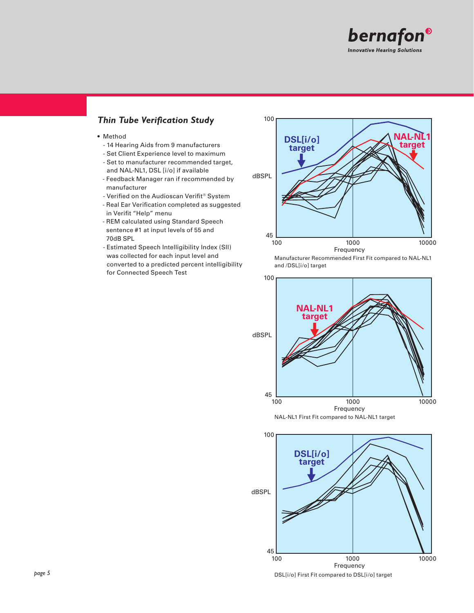

## *Thin Tube Verification Study*

- Method
	- 14 Hearing Aids from 9 manufacturers
	- Set Client Experience level to maximum
	- Set to manufacturer recommended target, and NAL-NL1, DSL [i/o] if available
	- Feedback Manager ran if recommended by manufacturer
	- Verified on the Audioscan Verifit® System
	- Real Ear Verification completed as suggested in Verifit "Help" menu
	- REM calculated using Standard Speech sentence #1 at input levels of 55 and 70dB SPL
	- Estimated Speech Intelligibility Index (SII) was collected for each input level and converted to a predicted percent intelligibility for Connected Speech Test



Manufacturer Recommended First Fit compared to NAL-NL1 and /DSL[i/o] target





DSL[i/o] First Fit compared to DSL[i/o] target